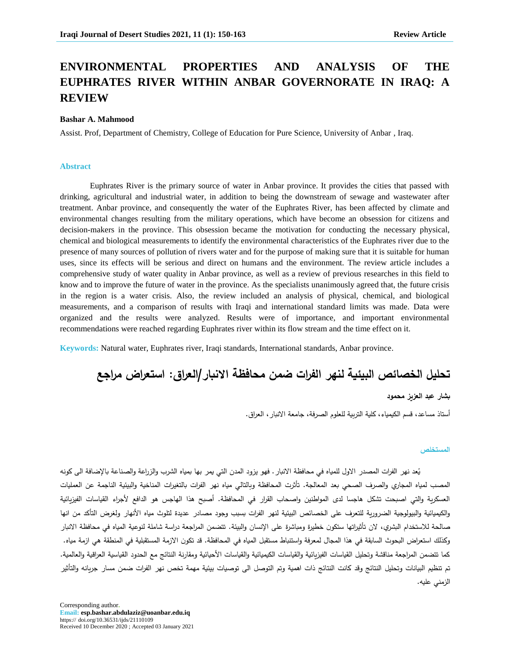# **ENVIRONMENTAL PROPERTIES AND ANALYSIS OF THE EUPHRATES RIVER WITHIN ANBAR GOVERNORATE IN IRAQ: A REVIEW**

#### **Bashar A. Mahmood**

Assist. Prof, Department of Chemistry, College of Education for Pure Science, University of Anbar , Iraq.

#### **Abstract**

Euphrates River is the primary source of water in Anbar province. It provides the cities that passed with drinking, agricultural and industrial water, in addition to being the downstream of sewage and wastewater after treatment. Anbar province, and consequently the water of the Euphrates River, has been affected by climate and environmental changes resulting from the military operations, which have become an obsession for citizens and decision-makers in the province. This obsession became the motivation for conducting the necessary physical, chemical and biological measurements to identify the environmental characteristics of the Euphrates river due to the presence of many sources of pollution of rivers water and for the purpose of making sure that it is suitable for human uses, since its effects will be serious and direct on humans and the environment. The review article includes a comprehensive study of water quality in Anbar province, as well as a review of previous researches in this field to know and to improve the future of water in the province. As the specialists unanimously agreed that, the future crisis in the region is a water crisis. Also, the review included an analysis of physical, chemical, and biological measurements, and a comparison of results with Iraqi and international standard limits was made. Data were organized and the results were analyzed. Results were of importance, and important environmental recommendations were reached regarding Euphrates river within its flow stream and the time effect on it.

**Keywords:** Natural water, Euphrates river, Iraqi standards, International standards, Anbar province.

**تحليل الخرائص البيئية لنهر الفرات ضمن محافظة االنبار/العراق: استعراض مراجع**

#### **بذار عبد العزيز محمود**

أستاذ مساعد، قسم الكيمياء، كلية التربية للعلوم الصرفة، جامعة الانبار ، العراق.

#### **المدتخلص**

يُعد نهر الفرات المصدر الاول للمياه في محافظة الانبار . فهو يزود المدن التي يمر بها بمياه الشرب والزراعة والصناعة بالإضافة الى كونه المصب لمياه المجاري والصرف الصحي بعد المعالجة. تأثرت المحافظة وبالتالي مياه نهر الفرات بالتغيرات المناخية والبيئية الناجمة عن العمليات العسكرية والتي اصبحت تشكل هاجسا لدى المواطنين واصحاب القرار في المحافظة. أصبح هذا الهاجس هو الدافع لأجراء القياسات الفيزيائية والكيميائية والبيولوجية الضرورية للتعرف على الخصائص البيئية لنهر الفرات بسبب وجود مصادر عديدة لتلوث مياه الأنهار ولغرض التأكد من انها صالحة للاستخدام البشري، لان تأثيراتها ستكون خطيرة ومباشرة على الإنسان والبيئة. نتضمن المراجعة دراسة شاملة لنوعية المياه في محافظة الانبار وكذلك استعراض البحوث السابقة في هذا المجال لمعرفة واستنباط مستقبل المياه في المحافظة. قد تكون الازمة المستقبلية في المنطقة هي ازمة مياه. كما نتضمن المراجعة مناقشة وتحليل القياسات الفيزيائية والقياسات الأصيائية وملقات ومقارنة النتائج مع الحدود القياسية العراقية والعالمية. تم تنظيم البيانات وتحليل النتائج وقد كانت النتائج ذات اهمية وتم التوصل الى توصيات بيئية مهمة تخص نهر الفرات ضمن مسار جريانه والتأثير الزمني عليه.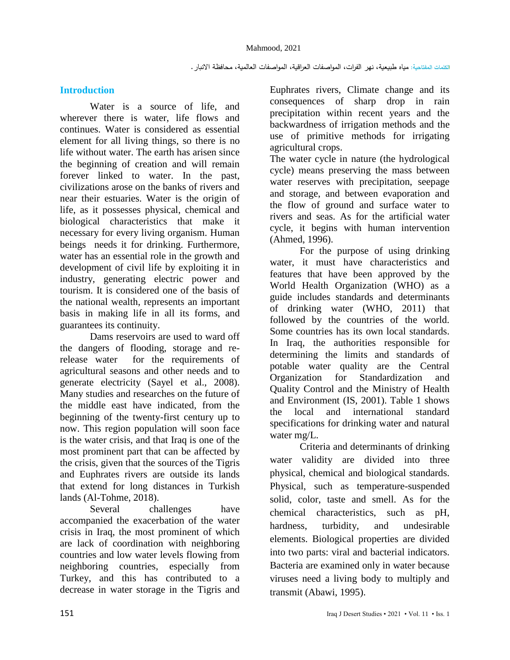## **Introduction**

Water is a source of life, and wherever there is water, life flows and continues. Water is considered as essential element for all living things, so there is no life without water. The earth has arisen since the beginning of creation and will remain forever linked to water. In the past, civilizations arose on the banks of rivers and near their estuaries. Water is the origin of life, as it possesses physical, chemical and biological characteristics that make it necessary for every living organism. Human beings needs it for drinking. Furthermore, water has an essential role in the growth and development of civil life by exploiting it in industry, generating electric power and tourism. It is considered one of the basis of the national wealth, represents an important basis in making life in all its forms, and guarantees its continuity.

Dams reservoirs are used to ward off the dangers of flooding, storage and rerelease water for the requirements of agricultural seasons and other needs and to generate electricity (Sayel et al., 2008). Many studies and researches on the future of the middle east have indicated, from the beginning of the twenty-first century up to now. This region population will soon face is the water crisis, and that Iraq is one of the most prominent part that can be affected by the crisis, given that the sources of the Tigris and Euphrates rivers are outside its lands that extend for long distances in Turkish lands (Al-Tohme, 2018).

Several challenges have accompanied the exacerbation of the water crisis in Iraq, the most prominent of which are lack of coordination with neighboring countries and low water levels flowing from neighboring countries, especially from Turkey, and this has contributed to a decrease in water storage in the Tigris and

Euphrates rivers, Climate change and its consequences of sharp drop in rain precipitation within recent years and the backwardness of irrigation methods and the use of primitive methods for irrigating agricultural crops.

The water cycle in nature (the hydrological cycle) means preserving the mass between water reserves with precipitation, seepage and storage, and between evaporation and the flow of ground and surface water to rivers and seas. As for the artificial water cycle, it begins with human intervention (Ahmed, 1996).

For the purpose of using drinking water, it must have characteristics and features that have been approved by the World Health Organization (WHO) as a guide includes standards and determinants of drinking water (WHO, 2011) that followed by the countries of the world. Some countries has its own local standards. In Iraq, the authorities responsible for determining the limits and standards of potable water quality are the Central Organization for Standardization and Quality Control and the Ministry of Health and Environment (IS, 2001). Table 1 shows the local and international standard specifications for drinking water and natural water mg/L.

Criteria and determinants of drinking water validity are divided into three physical, chemical and biological standards. Physical, such as temperature-suspended solid, color, taste and smell. As for the chemical characteristics, such as pH, hardness, turbidity, and undesirable elements. Biological properties are divided into two parts: viral and bacterial indicators. Bacteria are examined only in water because viruses need a living body to multiply and transmit (Abawi, 1995).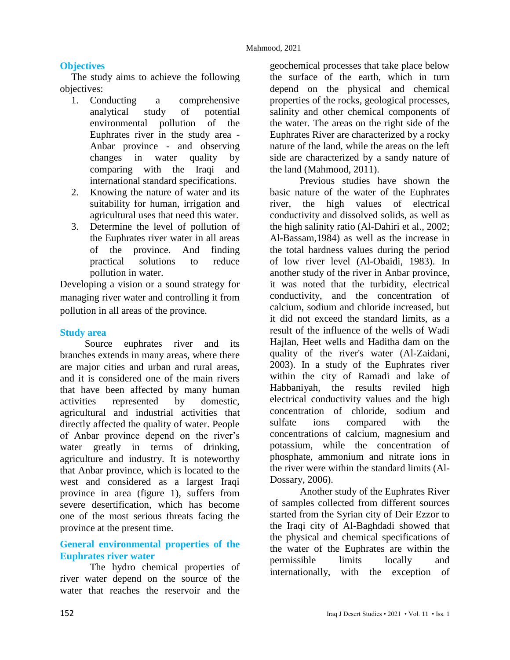## **Objectives**

The study aims to achieve the following objectives:

- 1. Conducting a comprehensive analytical study of potential environmental pollution of the Euphrates river in the study area - Anbar province - and observing changes in water quality by comparing with the Iraqi and international standard specifications.
- 2. Knowing the nature of water and its suitability for human, irrigation and agricultural uses that need this water.
- 3. Determine the level of pollution of the Euphrates river water in all areas of the province. And finding practical solutions to reduce pollution in water.

Developing a vision or a sound strategy for managing river water and controlling it from pollution in all areas of the province.

#### **Study area**

Source euphrates river and its branches extends in many areas, where there are major cities and urban and rural areas, and it is considered one of the main rivers that have been affected by many human activities represented by domestic, agricultural and industrial activities that directly affected the quality of water. People of Anbar province depend on the river's water greatly in terms of drinking, agriculture and industry. It is noteworthy that Anbar province, which is located to the west and considered as a largest Iraqi province in area (figure 1), suffers from severe desertification, which has become one of the most serious threats facing the province at the present time.

# **General environmental properties of the Euphrates river water**

The hydro chemical properties of river water depend on the source of the water that reaches the reservoir and the

geochemical processes that take place below the surface of the earth, which in turn depend on the physical and chemical properties of the rocks, geological processes, salinity and other chemical components of the water. The areas on the right side of the Euphrates River are characterized by a rocky nature of the land, while the areas on the left side are characterized by a sandy nature of the land (Mahmood, 2011).

Previous studies have shown the basic nature of the water of the Euphrates river, the high values of electrical conductivity and dissolved solids, as well as the high salinity ratio (Al-Dahiri et al., 2002; Al-Bassam,1984) as well as the increase in the total hardness values during the period of low river level (Al-Obaidi, 1983). In another study of the river in Anbar province, it was noted that the turbidity, electrical conductivity, and the concentration of calcium, sodium and chloride increased, but it did not exceed the standard limits, as a result of the influence of the wells of Wadi Hajlan, Heet wells and Haditha dam on the quality of the river's water (Al-Zaidani, 2003). In a study of the Euphrates river within the city of Ramadi and lake of Habbaniyah, the results reviled high electrical conductivity values and the high concentration of chloride, sodium and sulfate ions compared with the concentrations of calcium, magnesium and potassium, while the concentration of phosphate, ammonium and nitrate ions in the river were within the standard limits (Al-Dossary, 2006).

Another study of the Euphrates River of samples collected from different sources started from the Syrian city of Deir Ezzor to the Iraqi city of Al-Baghdadi showed that the physical and chemical specifications of the water of the Euphrates are within the permissible limits locally and internationally, with the exception of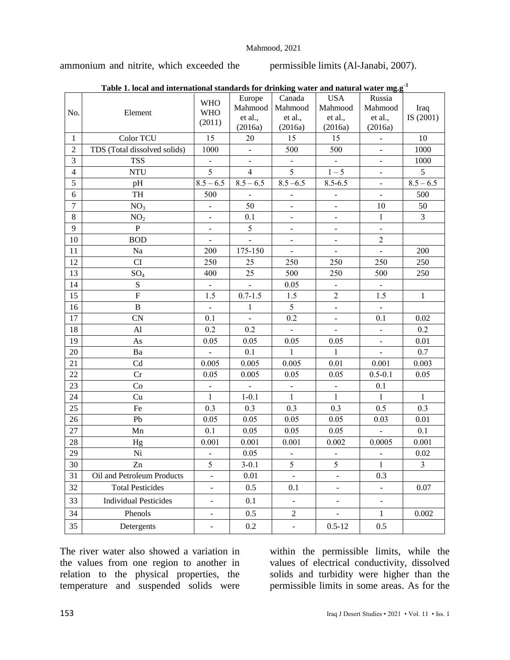ammonium and nitrite, which exceeded the permissible limits (Al-Janabi, 2007).

|                | Table 1. local and international standards for drinking water and natural water ing.g |                                    |                                         |                                         |                                             |                                         |                   |
|----------------|---------------------------------------------------------------------------------------|------------------------------------|-----------------------------------------|-----------------------------------------|---------------------------------------------|-----------------------------------------|-------------------|
| No.            | Element                                                                               | <b>WHO</b><br><b>WHO</b><br>(2011) | Europe<br>Mahmood<br>et al.,<br>(2016a) | Canada<br>Mahmood<br>et al.,<br>(2016a) | <b>USA</b><br>Mahmood<br>et al.,<br>(2016a) | Russia<br>Mahmood<br>et al.,<br>(2016a) | Iraq<br>IS (2001) |
| $\mathbf{1}$   | Color TCU                                                                             | 15                                 | 20                                      | 15                                      | 15                                          | $\blacksquare$                          | 10                |
| $\sqrt{2}$     | TDS (Total dissolved solids)                                                          | 1000                               | $\blacksquare$                          | 500                                     | 500                                         | $\qquad \qquad \blacksquare$            | 1000              |
| 3              | <b>TSS</b>                                                                            | $\overline{\phantom{a}}$           | $\overline{\phantom{0}}$                | $\blacksquare$                          | $\overline{a}$                              | $\overline{\phantom{a}}$                | 1000              |
| $\overline{4}$ | <b>NTU</b>                                                                            | 5                                  | $\overline{4}$                          | 5                                       | $1 - 5$                                     | $\blacksquare$                          | 5                 |
| 5              | pH                                                                                    | $8.5 - 6.5$                        | $8.5 - 6.5$                             | $8.5 - 6.5$                             | $8.5 - 6.5$                                 | $\overline{\phantom{a}}$                | $8.5 - 6.5$       |
| $\epsilon$     | TH                                                                                    | 500                                | $\blacksquare$                          | $\qquad \qquad \blacksquare$            | $\qquad \qquad -$                           | $\blacksquare$                          | 500               |
| $\overline{7}$ | NO <sub>3</sub>                                                                       | $\overline{a}$                     | 50                                      | $\frac{1}{2}$                           | $\frac{1}{2}$                               | 10                                      | 50                |
| 8              | NO <sub>2</sub>                                                                       | $\overline{\phantom{a}}$           | 0.1                                     | $\blacksquare$                          | $\blacksquare$                              | $\mathbf{1}$                            | $\mathfrak{Z}$    |
| 9              | $\mathbf P$                                                                           | $\overline{\phantom{a}}$           | 5                                       | $\frac{1}{2}$                           | $\overline{a}$                              | $\overline{\phantom{a}}$                |                   |
| 10             | <b>BOD</b>                                                                            | $\overline{\phantom{a}}$           | $\frac{1}{2}$                           | $\blacksquare$                          | $\overline{\phantom{a}}$                    | $\overline{c}$                          |                   |
| 11             | Na                                                                                    | 200                                | 175-150                                 | $\overline{a}$                          | $\overline{\phantom{a}}$                    | $\overline{a}$                          | 200               |
| 12             | CI                                                                                    | 250                                | 25                                      | 250                                     | 250                                         | 250                                     | 250               |
| 13             | $SO_4$                                                                                | 400                                | 25                                      | 500                                     | 250                                         | 500                                     | 250               |
| 14             | ${\bf S}$                                                                             | $\blacksquare$                     | $\blacksquare$                          | 0.05                                    | $\overline{\phantom{a}}$                    | $\blacksquare$                          |                   |
| 15             | $\overline{F}$                                                                        | 1.5                                | $0.7 - 1.5$                             | 1.5                                     | $\overline{c}$                              | 1.5                                     | $\mathbf 1$       |
| 16             | $\, {\bf B}$                                                                          | $\overline{a}$                     | $\mathbf{1}$                            | 5                                       | $\overline{a}$                              | $\overline{\phantom{a}}$                |                   |
| $17\,$         | CN                                                                                    | 0.1                                | $\overline{a}$                          | 0.2                                     | $\overline{a}$                              | 0.1                                     | 0.02              |
| 18             | Al                                                                                    | 0.2                                | 0.2                                     | $\blacksquare$                          | $\blacksquare$                              | $\blacksquare$                          | 0.2               |
| 19             | As                                                                                    | 0.05                               | 0.05                                    | 0.05                                    | 0.05                                        | $\blacksquare$                          | 0.01              |
| 20             | Ba                                                                                    | $\blacksquare$                     | 0.1                                     | $\mathbf{1}$                            | $\mathbf{1}$                                | $\blacksquare$                          | 0.7               |
| 21             | Cd                                                                                    | 0.005                              | 0.005                                   | 0.005                                   | $0.01\,$                                    | 0.001                                   | 0.003             |
| 22             | Cr                                                                                    | 0.05                               | 0.005                                   | 0.05                                    | 0.05                                        | $0.5 - 0.1$                             | 0.05              |
| 23             | Co                                                                                    | $\frac{1}{2}$                      | $\Box$                                  | $\Box$                                  | $\overline{a}$                              | 0.1                                     |                   |
| 24             | Cu                                                                                    | $\mathbf{1}$                       | $1 - 0.1$                               | $\mathbf{1}$                            | $\mathbf{1}$                                | $\mathbf{1}$                            | $\mathbf{1}$      |
| 25             | Fe                                                                                    | 0.3                                | 0.3                                     | 0.3                                     | 0.3                                         | 0.5                                     | 0.3               |
| 26             | Pb                                                                                    | 0.05                               | 0.05                                    | 0.05                                    | 0.05                                        | 0.03                                    | 0.01              |
| 27             | Mn                                                                                    | 0.1                                | 0.05                                    | 0.05                                    | 0.05                                        | $\overline{a}$                          | 0.1               |
| 28             | Hg                                                                                    | 0.001                              | 0.001                                   | 0.001                                   | 0.002                                       | 0.0005                                  | 0.001             |
| 29             | Ni                                                                                    | $\frac{1}{2}$                      | 0.05                                    | $\overline{\phantom{0}}$                | $\overline{\phantom{0}}$                    | $\blacksquare$                          | 0.02              |
| 30             | Zn                                                                                    | 5                                  | $3-0.1$                                 | 5                                       | 5                                           | 1                                       | 3                 |
| 31             | Oil and Petroleum Products                                                            | $\frac{1}{2}$                      | 0.01                                    | $\frac{1}{2}$                           | $\Box$                                      | 0.3                                     |                   |
| 32             | <b>Total Pesticides</b>                                                               | $\overline{\phantom{a}}$           | 0.5                                     | 0.1                                     |                                             | $\Box$                                  | 0.07              |
| 33             | <b>Individual Pesticides</b>                                                          | $\overline{\phantom{a}}$           | 0.1                                     | ÷.                                      | $\overline{\phantom{a}}$                    | $\overline{a}$                          |                   |
| 34             | Phenols                                                                               | $\overline{\phantom{0}}$           | 0.5                                     | $\overline{c}$                          | $\blacksquare$                              | $\mathbf{1}$                            | 0.002             |
| 35             | Detergents                                                                            | $\frac{1}{2}$                      | $0.2\,$                                 | $\qquad \qquad \blacksquare$            | $0.5 - 12$                                  | 0.5                                     |                   |

| Table 1. local and international standards for drinking water and natural water $\mathrm{mg.g.}^\mathbb{1}$ |  |  |
|-------------------------------------------------------------------------------------------------------------|--|--|
|                                                                                                             |  |  |
|                                                                                                             |  |  |

The river water also showed a variation in the values from one region to another in relation to the physical properties, the temperature and suspended solids were

within the permissible limits, while the values of electrical conductivity, dissolved solids and turbidity were higher than the permissible limits in some areas. As for the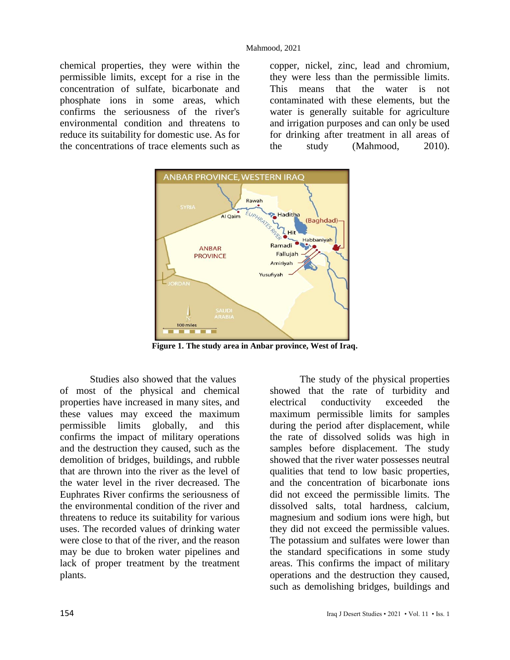chemical properties, they were within the permissible limits, except for a rise in the concentration of sulfate, bicarbonate and phosphate ions in some areas, which confirms the seriousness of the river's environmental condition and threatens to reduce its suitability for domestic use. As for the concentrations of trace elements such as copper, nickel, zinc, lead and chromium, they were less than the permissible limits. This means that the water is not contaminated with these elements, but the water is generally suitable for agriculture and irrigation purposes and can only be used for drinking after treatment in all areas of the study (Mahmood, 2010).



**Figure 1. The study area in Anbar province, West of Iraq.**

Studies also showed that the values of most of the physical and chemical properties have increased in many sites, and these values may exceed the maximum permissible limits globally, and this confirms the impact of military operations and the destruction they caused, such as the demolition of bridges, buildings, and rubble that are thrown into the river as the level of the water level in the river decreased. The Euphrates River confirms the seriousness of the environmental condition of the river and threatens to reduce its suitability for various uses. The recorded values of drinking water were close to that of the river, and the reason may be due to broken water pipelines and lack of proper treatment by the treatment plants.

The study of the physical properties showed that the rate of turbidity and electrical conductivity exceeded the maximum permissible limits for samples during the period after displacement, while the rate of dissolved solids was high in samples before displacement. The study showed that the river water possesses neutral qualities that tend to low basic properties, and the concentration of bicarbonate ions did not exceed the permissible limits. The dissolved salts, total hardness, calcium, magnesium and sodium ions were high, but they did not exceed the permissible values. The potassium and sulfates were lower than the standard specifications in some study areas. This confirms the impact of military operations and the destruction they caused, such as demolishing bridges, buildings and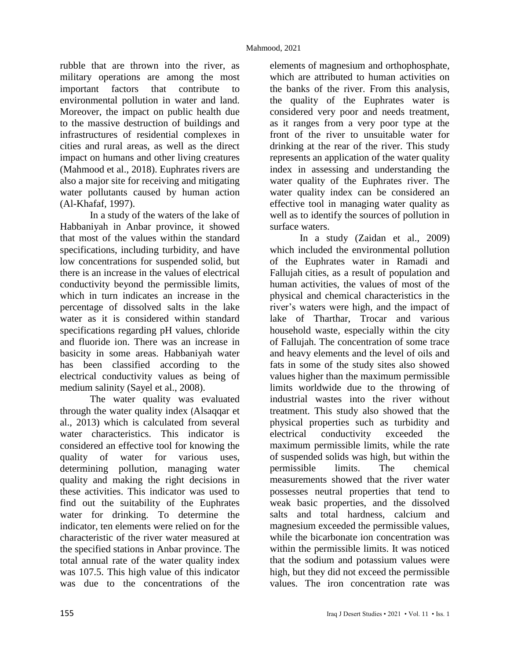rubble that are thrown into the river, as military operations are among the most important factors that contribute to environmental pollution in water and land. Moreover, the impact on public health due to the massive destruction of buildings and infrastructures of residential complexes in cities and rural areas, as well as the direct impact on humans and other living creatures (Mahmood et al., 2018). Euphrates rivers are also a major site for receiving and mitigating water pollutants caused by human action (Al-Khafaf, 1997).

In a study of the waters of the lake of Habbaniyah in Anbar province, it showed that most of the values within the standard specifications, including turbidity, and have low concentrations for suspended solid, but there is an increase in the values of electrical conductivity beyond the permissible limits, which in turn indicates an increase in the percentage of dissolved salts in the lake water as it is considered within standard specifications regarding pH values, chloride and fluoride ion. There was an increase in basicity in some areas. Habbaniyah water has been classified according to the electrical conductivity values as being of medium salinity (Sayel et al., 2008).

The water quality was evaluated through the water quality index (Alsaqqar et al., 2013) which is calculated from several water characteristics. This indicator is considered an effective tool for knowing the quality of water for various uses, determining pollution, managing water quality and making the right decisions in these activities. This indicator was used to find out the suitability of the Euphrates water for drinking. To determine the indicator, ten elements were relied on for the characteristic of the river water measured at the specified stations in Anbar province. The total annual rate of the water quality index was 107.5. This high value of this indicator was due to the concentrations of the

elements of magnesium and orthophosphate, which are attributed to human activities on the banks of the river. From this analysis, the quality of the Euphrates water is considered very poor and needs treatment, as it ranges from a very poor type at the front of the river to unsuitable water for drinking at the rear of the river. This study represents an application of the water quality index in assessing and understanding the water quality of the Euphrates river. The water quality index can be considered an effective tool in managing water quality as well as to identify the sources of pollution in surface waters.

In a study (Zaidan et al., 2009) which included the environmental pollution of the Euphrates water in Ramadi and Fallujah cities, as a result of population and human activities, the values of most of the physical and chemical characteristics in the river's waters were high, and the impact of lake of Tharthar, Trocar and various household waste, especially within the city of Fallujah. The concentration of some trace and heavy elements and the level of oils and fats in some of the study sites also showed values higher than the maximum permissible limits worldwide due to the throwing of industrial wastes into the river without treatment. This study also showed that the physical properties such as turbidity and electrical conductivity exceeded the maximum permissible limits, while the rate of suspended solids was high, but within the permissible limits. The chemical measurements showed that the river water possesses neutral properties that tend to weak basic properties, and the dissolved salts and total hardness, calcium and magnesium exceeded the permissible values, while the bicarbonate ion concentration was within the permissible limits. It was noticed that the sodium and potassium values were high, but they did not exceed the permissible values. The iron concentration rate was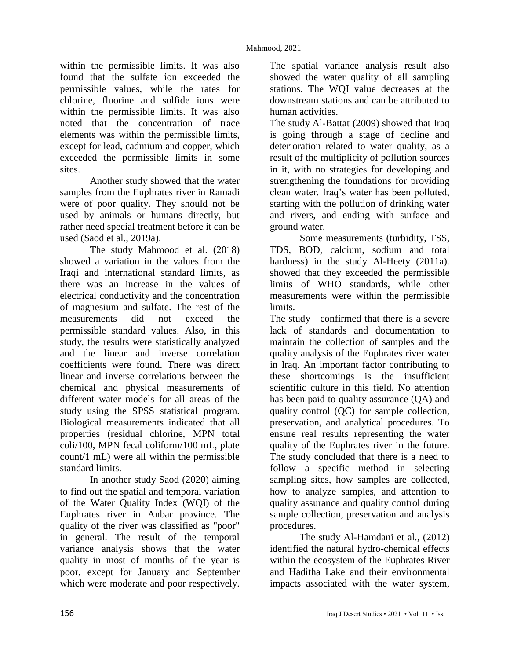within the permissible limits. It was also found that the sulfate ion exceeded the permissible values, while the rates for chlorine, fluorine and sulfide ions were within the permissible limits. It was also noted that the concentration of trace elements was within the permissible limits, except for lead, cadmium and copper, which exceeded the permissible limits in some sites.

Another study showed that the water samples from the Euphrates river in Ramadi were of poor quality. They should not be used by animals or humans directly, but rather need special treatment before it can be used (Saod et al., 2019a).

The study Mahmood et al. (2018) showed a variation in the values from the Iraqi and international standard limits, as there was an increase in the values of electrical conductivity and the concentration of magnesium and sulfate. The rest of the measurements did not exceed the permissible standard values. Also, in this study, the results were statistically analyzed and the linear and inverse correlation coefficients were found. There was direct linear and inverse correlations between the chemical and physical measurements of different water models for all areas of the study using the SPSS statistical program. Biological measurements indicated that all properties (residual chlorine, MPN total coli/100, MPN fecal coliform/100 mL, plate count/1 mL) were all within the permissible standard limits.

In another study Saod (2020) aiming to find out the spatial and temporal variation of the Water Quality Index (WQI) of the Euphrates river in Anbar province. The quality of the river was classified as "poor" in general. The result of the temporal variance analysis shows that the water quality in most of months of the year is poor, except for January and September which were moderate and poor respectively.

The spatial variance analysis result also showed the water quality of all sampling stations. The WQI value decreases at the downstream stations and can be attributed to human activities.

The study Al-Battat (2009) showed that Iraq is going through a stage of decline and deterioration related to water quality, as a result of the multiplicity of pollution sources in it, with no strategies for developing and strengthening the foundations for providing clean water. Iraq's water has been polluted, starting with the pollution of drinking water and rivers, and ending with surface and ground water.

Some measurements (turbidity, TSS, TDS, BOD, calcium, sodium and total hardness) in the study Al-Heety (2011a). showed that they exceeded the permissible limits of WHO standards, while other measurements were within the permissible limits.

The study confirmed that there is a severe lack of standards and documentation to maintain the collection of samples and the quality analysis of the Euphrates river water in Iraq. An important factor contributing to these shortcomings is the insufficient scientific culture in this field. No attention has been paid to quality assurance (QA) and quality control (QC) for sample collection, preservation, and analytical procedures. To ensure real results representing the water quality of the Euphrates river in the future. The study concluded that there is a need to follow a specific method in selecting sampling sites, how samples are collected, how to analyze samples, and attention to quality assurance and quality control during sample collection, preservation and analysis procedures.

The study Al-Hamdani et al., (2012) identified the natural hydro-chemical effects within the ecosystem of the Euphrates River and Haditha Lake and their environmental impacts associated with the water system,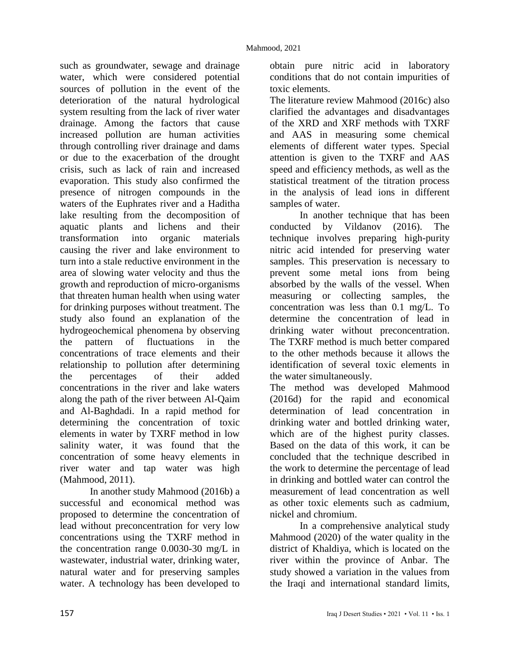such as groundwater, sewage and drainage water, which were considered potential sources of pollution in the event of the deterioration of the natural hydrological system resulting from the lack of river water drainage. Among the factors that cause increased pollution are human activities through controlling river drainage and dams or due to the exacerbation of the drought crisis, such as lack of rain and increased evaporation. This study also confirmed the presence of nitrogen compounds in the waters of the Euphrates river and a Haditha lake resulting from the decomposition of aquatic plants and lichens and their transformation into organic materials causing the river and lake environment to turn into a stale reductive environment in the area of slowing water velocity and thus the growth and reproduction of micro-organisms that threaten human health when using water for drinking purposes without treatment. The study also found an explanation of the hydrogeochemical phenomena by observing the pattern of fluctuations in the concentrations of trace elements and their relationship to pollution after determining the percentages of their added concentrations in the river and lake waters along the path of the river between Al-Qaim and Al-Baghdadi. In a rapid method for determining the concentration of toxic elements in water by TXRF method in low salinity water, it was found that the concentration of some heavy elements in river water and tap water was high (Mahmood, 2011).

In another study Mahmood (2016b) a successful and economical method was proposed to determine the concentration of lead without preconcentration for very low concentrations using the TXRF method in the concentration range 0.0030-30 mg/L in wastewater, industrial water, drinking water, natural water and for preserving samples water. A technology has been developed to

obtain pure nitric acid in laboratory conditions that do not contain impurities of toxic elements.

The literature review Mahmood (2016c) also clarified the advantages and disadvantages of the XRD and XRF methods with TXRF and AAS in measuring some chemical elements of different water types. Special attention is given to the TXRF and AAS speed and efficiency methods, as well as the statistical treatment of the titration process in the analysis of lead ions in different samples of water.

In another technique that has been conducted by Vildanov (2016). The technique involves preparing high-purity nitric acid intended for preserving water samples. This preservation is necessary to prevent some metal ions from being absorbed by the walls of the vessel. When measuring or collecting samples, the concentration was less than 0.1 mg/L. To determine the concentration of lead in drinking water without preconcentration. The TXRF method is much better compared to the other methods because it allows the identification of several toxic elements in the water simultaneously.

The method was developed Mahmood (2016d) for the rapid and economical determination of lead concentration in drinking water and bottled drinking water, which are of the highest purity classes. Based on the data of this work, it can be concluded that the technique described in the work to determine the percentage of lead in drinking and bottled water can control the measurement of lead concentration as well as other toxic elements such as cadmium, nickel and chromium.

In a comprehensive analytical study Mahmood (2020) of the water quality in the district of Khaldiya, which is located on the river within the province of Anbar. The study showed a variation in the values from the Iraqi and international standard limits,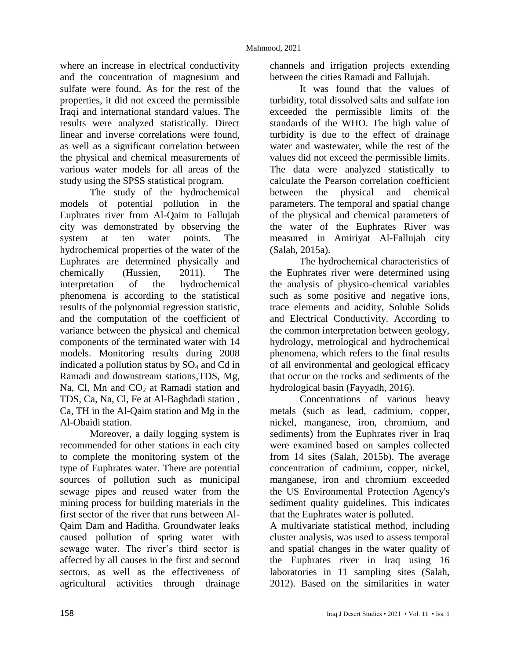where an increase in electrical conductivity and the concentration of magnesium and sulfate were found. As for the rest of the properties, it did not exceed the permissible Iraqi and international standard values. The results were analyzed statistically. Direct linear and inverse correlations were found, as well as a significant correlation between the physical and chemical measurements of various water models for all areas of the study using the SPSS statistical program.

The study of the hydrochemical models of potential pollution in the Euphrates river from Al-Qaim to Fallujah city was demonstrated by observing the system at ten water points. The hydrochemical properties of the water of the Euphrates are determined physically and chemically (Hussien, 2011). The interpretation of the hydrochemical phenomena is according to the statistical results of the polynomial regression statistic, and the computation of the coefficient of variance between the physical and chemical components of the terminated water with 14 models. Monitoring results during 2008 indicated a pollution status by  $SO<sub>4</sub>$  and Cd in Ramadi and downstream stations,TDS, Mg, Na, Cl, Mn and  $CO<sub>2</sub>$  at Ramadi station and TDS, Ca, Na, Cl, Fe at Al-Baghdadi station , Ca, TH in the Al-Qaim station and Mg in the Al-Obaidi station.

Moreover, a daily logging system is recommended for other stations in each city to complete the monitoring system of the type of Euphrates water. There are potential sources of pollution such as municipal sewage pipes and reused water from the mining process for building materials in the first sector of the river that runs between Al-Qaim Dam and Haditha. Groundwater leaks caused pollution of spring water with sewage water. The river's third sector is affected by all causes in the first and second sectors, as well as the effectiveness of agricultural activities through drainage

channels and irrigation projects extending between the cities Ramadi and Fallujah.

It was found that the values of turbidity, total dissolved salts and sulfate ion exceeded the permissible limits of the standards of the WHO. The high value of turbidity is due to the effect of drainage water and wastewater, while the rest of the values did not exceed the permissible limits. The data were analyzed statistically to calculate the Pearson correlation coefficient between the physical and chemical parameters. The temporal and spatial change of the physical and chemical parameters of the water of the Euphrates River was measured in Amiriyat Al-Fallujah city (Salah, 2015a).

The hydrochemical characteristics of the Euphrates river were determined using the analysis of physico-chemical variables such as some positive and negative ions, trace elements and acidity, Soluble Solids and Electrical Conductivity. According to the common interpretation between geology, hydrology, metrological and hydrochemical phenomena, which refers to the final results of all environmental and geological efficacy that occur on the rocks and sediments of the hydrological basin (Fayyadh, 2016).

Concentrations of various heavy metals (such as lead, cadmium, copper, nickel, manganese, iron, chromium, and sediments) from the Euphrates river in Iraq were examined based on samples collected from 14 sites (Salah, 2015b). The average concentration of cadmium, copper, nickel, manganese, iron and chromium exceeded the US Environmental Protection Agency's sediment quality guidelines. This indicates that the Euphrates water is polluted.

A multivariate statistical method, including cluster analysis, was used to assess temporal and spatial changes in the water quality of the Euphrates river in Iraq using 16 laboratories in 11 sampling sites (Salah, 2012). Based on the similarities in water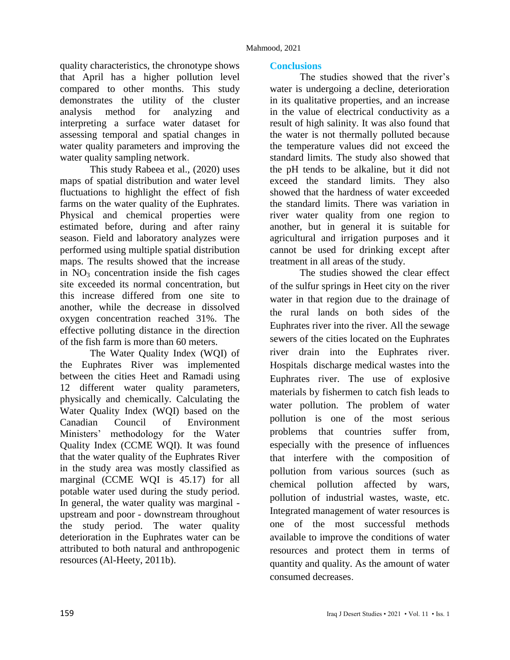quality characteristics, the chronotype shows that April has a higher pollution level compared to other months. This study demonstrates the utility of the cluster analysis method for analyzing and interpreting a surface water dataset for assessing temporal and spatial changes in water quality parameters and improving the water quality sampling network.

This study Rabeea et al., (2020) uses maps of spatial distribution and water level fluctuations to highlight the effect of fish farms on the water quality of the Euphrates. Physical and chemical properties were estimated before, during and after rainy season. Field and laboratory analyzes were performed using multiple spatial distribution maps. The results showed that the increase in  $NO<sub>3</sub>$  concentration inside the fish cages site exceeded its normal concentration, but this increase differed from one site to another, while the decrease in dissolved oxygen concentration reached 31%. The effective polluting distance in the direction of the fish farm is more than 60 meters.

The Water Quality Index (WQI) of the Euphrates River was implemented between the cities Heet and Ramadi using 12 different water quality parameters, physically and chemically. Calculating the Water Quality Index (WQI) based on the Canadian Council of Environment Ministers' methodology for the Water Quality Index (CCME WQI). It was found that the water quality of the Euphrates River in the study area was mostly classified as marginal (CCME WQI is 45.17) for all potable water used during the study period. In general, the water quality was marginal upstream and poor - downstream throughout the study period. The water quality deterioration in the Euphrates water can be attributed to both natural and anthropogenic resources (Al-Heety, 2011b).

### **Conclusions**

The studies showed that the river's water is undergoing a decline, deterioration in its qualitative properties, and an increase in the value of electrical conductivity as a result of high salinity. It was also found that the water is not thermally polluted because the temperature values did not exceed the standard limits. The study also showed that the pH tends to be alkaline, but it did not exceed the standard limits. They also showed that the hardness of water exceeded the standard limits. There was variation in river water quality from one region to another, but in general it is suitable for agricultural and irrigation purposes and it cannot be used for drinking except after treatment in all areas of the study.

The studies showed the clear effect of the sulfur springs in Heet city on the river water in that region due to the drainage of the rural lands on both sides of the Euphrates river into the river. All the sewage sewers of the cities located on the Euphrates river drain into the Euphrates river. Hospitals discharge medical wastes into the Euphrates river. The use of explosive materials by fishermen to catch fish leads to water pollution. The problem of water pollution is one of the most serious problems that countries suffer from, especially with the presence of influences that interfere with the composition of pollution from various sources (such as chemical pollution affected by wars, pollution of industrial wastes, waste, etc. Integrated management of water resources is one of the most successful methods available to improve the conditions of water resources and protect them in terms of quantity and quality. As the amount of water consumed decreases.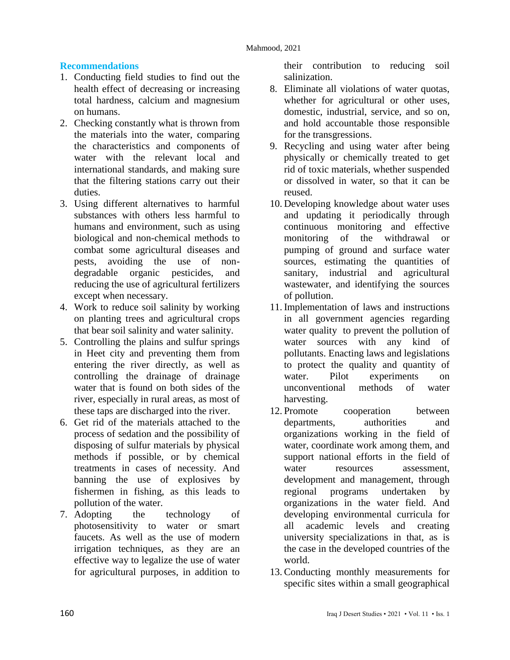### **Recommendations**

- 1. Conducting field studies to find out the health effect of decreasing or increasing total hardness, calcium and magnesium on humans.
- 2. Checking constantly what is thrown from the materials into the water, comparing the characteristics and components of water with the relevant local and international standards, and making sure that the filtering stations carry out their duties.
- 3. Using different alternatives to harmful substances with others less harmful to humans and environment, such as using biological and non-chemical methods to combat some agricultural diseases and pests, avoiding the use of nondegradable organic pesticides, and reducing the use of agricultural fertilizers except when necessary.
- 4. Work to reduce soil salinity by working on planting trees and agricultural crops that bear soil salinity and water salinity.
- 5. Controlling the plains and sulfur springs in Heet city and preventing them from entering the river directly, as well as controlling the drainage of drainage water that is found on both sides of the river, especially in rural areas, as most of these taps are discharged into the river.
- 6. Get rid of the materials attached to the process of sedation and the possibility of disposing of sulfur materials by physical methods if possible, or by chemical treatments in cases of necessity. And banning the use of explosives by fishermen in fishing, as this leads to pollution of the water.
- 7. Adopting the technology of photosensitivity to water or smart faucets. As well as the use of modern irrigation techniques, as they are an effective way to legalize the use of water for agricultural purposes, in addition to

their contribution to reducing soil salinization.

- 8. Eliminate all violations of water quotas, whether for agricultural or other uses, domestic, industrial, service, and so on, and hold accountable those responsible for the transgressions.
- 9. Recycling and using water after being physically or chemically treated to get rid of toxic materials, whether suspended or dissolved in water, so that it can be reused.
- 10. Developing knowledge about water uses and updating it periodically through continuous monitoring and effective monitoring of the withdrawal or pumping of ground and surface water sources, estimating the quantities of sanitary, industrial and agricultural wastewater, and identifying the sources of pollution.
- 11. Implementation of laws and instructions in all government agencies regarding water quality to prevent the pollution of water sources with any kind of pollutants. Enacting laws and legislations to protect the quality and quantity of water. Pilot experiments on unconventional methods of water harvesting.
- 12. Promote cooperation between departments, authorities and organizations working in the field of water, coordinate work among them, and support national efforts in the field of water resources assessment. development and management, through regional programs undertaken by organizations in the water field. And developing environmental curricula for all academic levels and creating university specializations in that, as is the case in the developed countries of the world.
- 13. Conducting monthly measurements for specific sites within a small geographical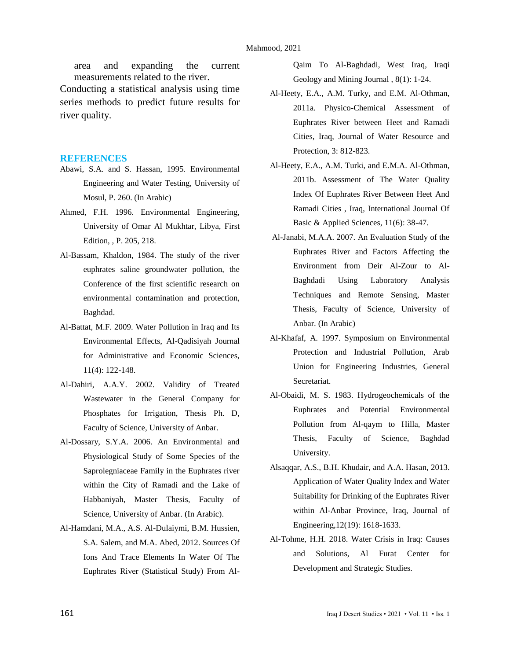area and expanding the current measurements related to the river.

Conducting a statistical analysis using time series methods to predict future results for river quality.

#### **REFERENCES**

- Abawi, S.A. and S. Hassan, 1995. Environmental Engineering and Water Testing, University of Mosul, P. 260. (In Arabic)
- Ahmed, F.H. 1996. Environmental Engineering, University of Omar Al Mukhtar, Libya, First Edition, , P. 205, 218.
- Al-Bassam, Khaldon, 1984. The study of the river euphrates saline groundwater pollution, the Conference of the first scientific research on environmental contamination and protection, Baghdad.
- Al-Battat, M.F. 2009. Water Pollution in Iraq and Its Environmental Effects, Al-Qadisiyah Journal for Administrative and Economic Sciences, 11(4): 122-148.
- Al-Dahiri, A.A.Y. 2002. Validity of Treated Wastewater in the General Company for Phosphates for Irrigation, Thesis Ph. D, Faculty of Science, University of Anbar.
- Al-Dossary, S.Y.A. 2006. An Environmental and Physiological Study of Some Species of the Saprolegniaceae Family in the Euphrates river within the City of Ramadi and the Lake of Habbaniyah, Master Thesis, Faculty of Science, University of Anbar. (In Arabic).
- Al-Hamdani, M.A., A.S. Al-Dulaiymi, B.M. Hussien, S.A. Salem, and M.A. Abed, 2012. Sources Of Ions And Trace Elements In Water Of The Euphrates River (Statistical Study) From Al-

Qaim To Al-Baghdadi, West Iraq, Iraqi Geology and Mining Journal , 8(1): 1-24.

- Al-Heety, E.A., A.M. Turky, and E.M. Al-Othman, 2011a. Physico-Chemical Assessment of Euphrates River between Heet and Ramadi Cities, Iraq, Journal of Water Resource and Protection, 3: 812-823.
- Al-Heety, E.A., A.M. Turki, and E.M.A. Al-Othman, 2011b. Assessment of The Water Quality Index Of Euphrates River Between Heet And Ramadi Cities , Iraq, International Journal Of Basic & Applied Sciences, 11(6): 38-47.
- Al-Janabi, M.A.A. 2007. An Evaluation Study of the Euphrates River and Factors Affecting the Environment from Deir Al-Zour to Al-Baghdadi Using Laboratory Analysis Techniques and Remote Sensing, Master Thesis, Faculty of Science, University of Anbar. (In Arabic)
- Al-Khafaf, A. 1997. Symposium on Environmental Protection and Industrial Pollution, Arab Union for Engineering Industries, General Secretariat.
- Al-Obaidi, M. S. 1983. Hydrogeochemicals of the Euphrates and Potential Environmental Pollution from Al-qaym to Hilla, Master Thesis, Faculty of Science, Baghdad University.
- Alsaqqar, A.S., B.H. Khudair, and A.A. Hasan, 2013. Application of Water Quality Index and Water Suitability for Drinking of the Euphrates River within Al-Anbar Province, Iraq, Journal of Engineering,12(19): 1618-1633.
- Al-Tohme, H.H. 2018. Water Crisis in Iraq: Causes and Solutions, Al Furat Center for Development and Strategic Studies.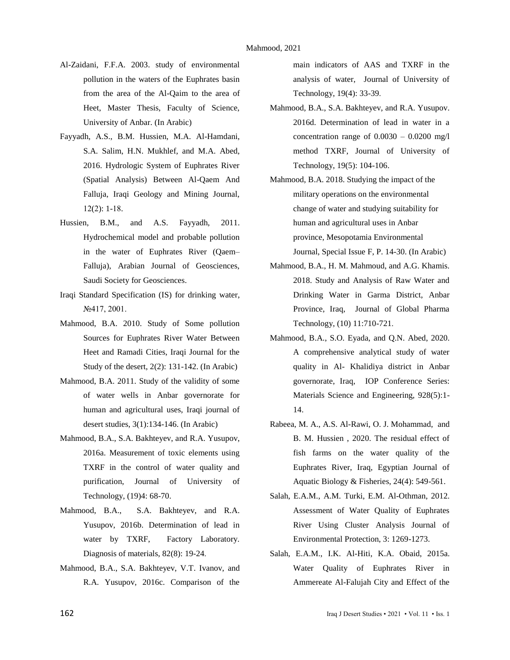- Al-Zaidani, F.F.A. 2003. study of environmental pollution in the waters of the Euphrates basin from the area of the Al-Qaim to the area of Heet, Master Thesis, Faculty of Science, University of Anbar. (In Arabic)
- Fayyadh, A.S., B.M. Hussien, M.A. Al-Hamdani, S.A. Salim, H.N. Mukhlef, and M.A. Abed, 2016. Hydrologic System of Euphrates River (Spatial Analysis) Between Al-Qaem And Falluja, Iraqi Geology and Mining Journal,  $12(2): 1-18.$
- Hussien, B.M., and A.S. Fayyadh, 2011. Hydrochemical model and probable pollution in the water of Euphrates River (Qaem– Falluja), Arabian Journal of Geosciences, Saudi Society for Geosciences.
- Iraqi Standard Specification (IS) for drinking water, №417, 2001.
- Mahmood, B.A. 2010. Study of Some pollution Sources for Euphrates River Water Between Heet and Ramadi Cities, Iraqi Journal for the Study of the desert, 2(2): 131-142. (In Arabic)
- Mahmood, B.A. 2011. Study of the validity of some of water wells in Anbar governorate for human and agricultural uses, Iraqi journal of desert studies, 3(1):134-146. (In Arabic)
- Mahmood, B.A., S.A. Bakhteyev, and R.A. Yusupov, 2016a. Measurement of toxic elements using TXRF in the control of water quality and purification, Journal of University of Technology, (19)4: 68-70.
- Mahmood, B.A., S.A. Bakhteyev, and R.A. Yusupov, 2016b. Determination of lead in water by TXRF, Factory Laboratory. Diagnosis of materials, 82(8): 19-24.
- Mahmood, B.A., S.A. Bakhteyev, V.T. Ivanov, and R.A. Yusupov, 2016c. Comparison of the

main indicators of AAS and TXRF in the analysis of water, Journal of University of Technology, 19(4): 33-39.

- Mahmood, B.A., S.A. Bakhteyev, and R.A. Yusupov. 2016d. Determination of lead in water in a concentration range of  $0.0030 - 0.0200$  mg/l method TXRF, Journal of University of Technology, 19(5): 104-106.
- Mahmood, B.A. 2018. Studying the impact of the military operations on the environmental change of water and studying suitability for human and agricultural uses in Anbar province, Mesopotamia Environmental Journal, Special Issue F, P. 14-30. (In Arabic)
- Mahmood, B.A., H. M. Mahmoud, and A.G. Khamis. 2018. Study and Analysis of Raw Water and Drinking Water in Garma District, Anbar Province, Iraq, Journal of Global Pharma Technology, (10) 11:710-721.
- Mahmood, B.A., S.O. Eyada, and Q.N. Abed, 2020. A comprehensive analytical study of water quality in Al- Khalidiya district in Anbar governorate, Iraq, IOP Conference Series: Materials Science and Engineering, 928(5):1- 14.
- Rabeea, M. A., A.S. Al-Rawi, O. J. Mohammad, and B. M. Hussien , 2020. The residual effect of fish farms on the water quality of the Euphrates River, Iraq, Egyptian Journal of Aquatic Biology & Fisheries, 24(4): 549-561.
- Salah, E.A.M., A.M. Turki, E.M. Al-Othman, 2012. Assessment of Water Quality of Euphrates River Using Cluster Analysis Journal of Environmental Protection, 3: 1269-1273.
- Salah, E.A.M., I.K. Al-Hiti, K.A. Obaid, 2015a. Water Quality of Euphrates River in Ammereate Al-Falujah City and Effect of the